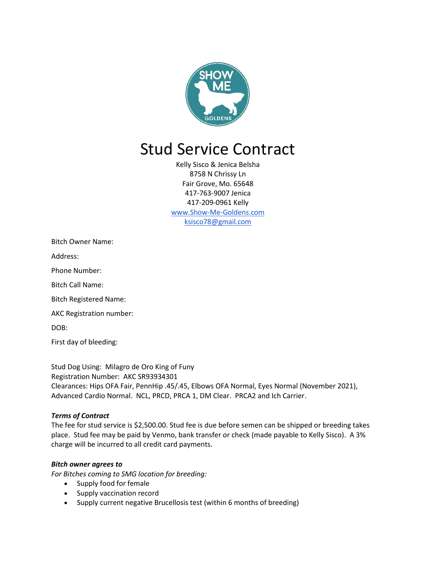

# Stud Service Contract

Kelly Sisco & Jenica Belsha 8758 N Chrissy Ln Fair Grove, Mo. 65648 417-763-9007 Jenica 417-209-0961 Kelly [www.Show-Me-Goldens.com](http://www.show-me-goldens.com/) ksisco78@gmail.com

Bitch Owner Name:

Address:

Phone Number:

Bitch Call Name:

Bitch Registered Name:

AKC Registration number:

DOB:

First day of bleeding:

Stud Dog Using: Milagro de Oro King of Funy Registration Number: AKC SR93934301 Clearances: Hips OFA Fair, PennHip .45/.45, Elbows OFA Normal, Eyes Normal (November 2021), Advanced Cardio Normal. NCL, PRCD, PRCA 1, DM Clear. PRCA2 and Ich Carrier.

### *Terms of Contract*

The fee for stud service is \$2,500.00. Stud fee is due before semen can be shipped or breeding takes place. Stud fee may be paid by Venmo, bank transfer or check (made payable to Kelly Sisco). A 3% charge will be incurred to all credit card payments.

### *Bitch owner agrees to*

*For Bitches coming to SMG location for breeding:*

- Supply food for female
- Supply vaccination record
- Supply current negative Brucellosis test (within 6 months of breeding)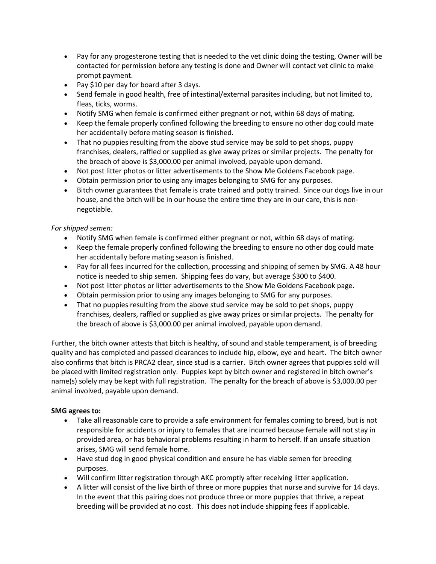- Pay for any progesterone testing that is needed to the vet clinic doing the testing, Owner will be contacted for permission before any testing is done and Owner will contact vet clinic to make prompt payment.
- Pay \$10 per day for board after 3 days.
- Send female in good health, free of intestinal/external parasites including, but not limited to, fleas, ticks, worms.
- Notify SMG when female is confirmed either pregnant or not, within 68 days of mating.
- Keep the female properly confined following the breeding to ensure no other dog could mate her accidentally before mating season is finished.
- That no puppies resulting from the above stud service may be sold to pet shops, puppy franchises, dealers, raffled or supplied as give away prizes or similar projects. The penalty for the breach of above is \$3,000.00 per animal involved, payable upon demand.
- Not post litter photos or litter advertisements to the Show Me Goldens Facebook page.
- Obtain permission prior to using any images belonging to SMG for any purposes.
- Bitch owner guarantees that female is crate trained and potty trained. Since our dogs live in our house, and the bitch will be in our house the entire time they are in our care, this is nonnegotiable.

# *For shipped semen:*

- Notify SMG when female is confirmed either pregnant or not, within 68 days of mating.
- Keep the female properly confined following the breeding to ensure no other dog could mate her accidentally before mating season is finished.
- Pay for all fees incurred for the collection, processing and shipping of semen by SMG. A 48 hour notice is needed to ship semen. Shipping fees do vary, but average \$300 to \$400.
- Not post litter photos or litter advertisements to the Show Me Goldens Facebook page.
- Obtain permission prior to using any images belonging to SMG for any purposes.
- That no puppies resulting from the above stud service may be sold to pet shops, puppy franchises, dealers, raffled or supplied as give away prizes or similar projects. The penalty for the breach of above is \$3,000.00 per animal involved, payable upon demand.

Further, the bitch owner attests that bitch is healthy, of sound and stable temperament, is of breeding quality and has completed and passed clearances to include hip, elbow, eye and heart. The bitch owner also confirms that bitch is PRCA2 clear, since stud is a carrier. Bitch owner agrees that puppies sold will be placed with limited registration only. Puppies kept by bitch owner and registered in bitch owner's name(s) solely may be kept with full registration. The penalty for the breach of above is \$3,000.00 per animal involved, payable upon demand.

# **SMG agrees to:**

- Take all reasonable care to provide a safe environment for females coming to breed, but is not responsible for accidents or injury to females that are incurred because female will not stay in provided area, or has behavioral problems resulting in harm to herself. If an unsafe situation arises, SMG will send female home.
- Have stud dog in good physical condition and ensure he has viable semen for breeding purposes.
- Will confirm litter registration through AKC promptly after receiving litter application.
- A litter will consist of the live birth of three or more puppies that nurse and survive for 14 days. In the event that this pairing does not produce three or more puppies that thrive, a repeat breeding will be provided at no cost. This does not include shipping fees if applicable.